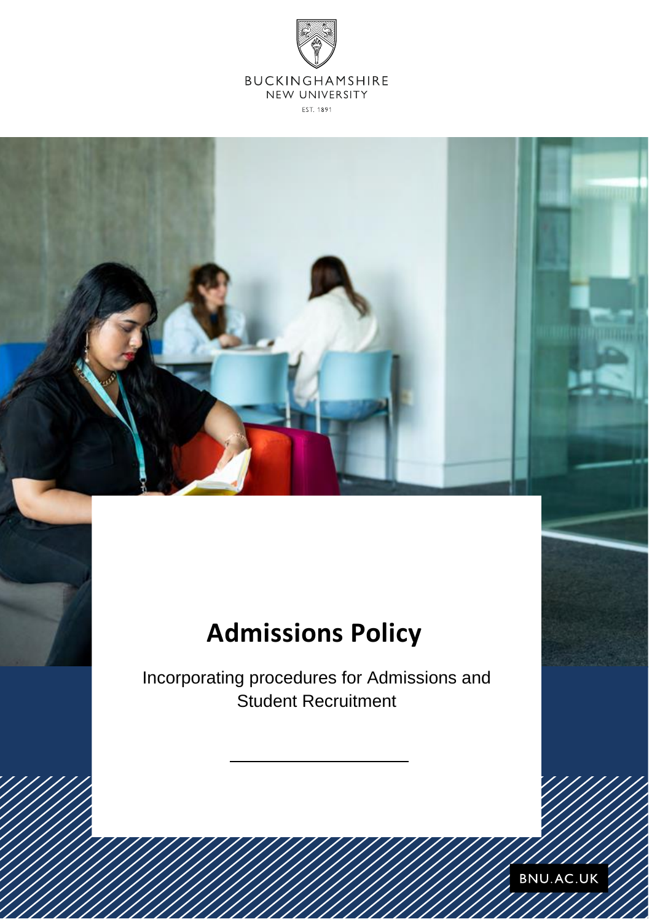

# **Admissions Policy**

Incorporating procedures for Admissions and Student Recruitment

**BNU.AC.UK**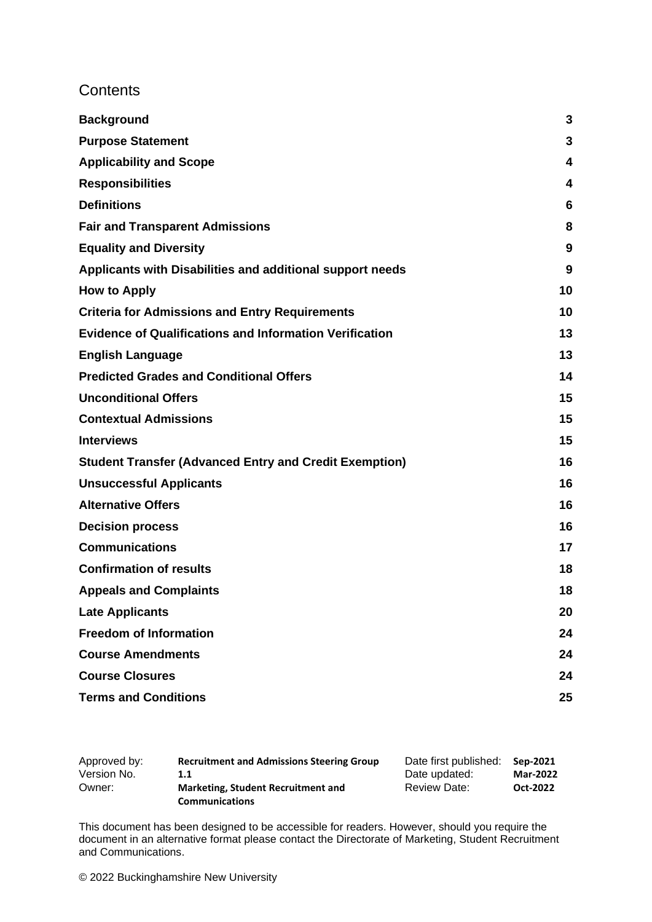#### **Contents**

| <b>Background</b>                                              | 3  |
|----------------------------------------------------------------|----|
| <b>Purpose Statement</b>                                       | 3  |
| <b>Applicability and Scope</b>                                 | 4  |
| <b>Responsibilities</b>                                        | 4  |
| <b>Definitions</b>                                             | 6  |
| <b>Fair and Transparent Admissions</b>                         | 8  |
| <b>Equality and Diversity</b>                                  | 9  |
| Applicants with Disabilities and additional support needs      | 9  |
| <b>How to Apply</b>                                            | 10 |
| <b>Criteria for Admissions and Entry Requirements</b>          | 10 |
| <b>Evidence of Qualifications and Information Verification</b> | 13 |
| <b>English Language</b>                                        | 13 |
| <b>Predicted Grades and Conditional Offers</b>                 | 14 |
| <b>Unconditional Offers</b>                                    | 15 |
| <b>Contextual Admissions</b>                                   | 15 |
| <b>Interviews</b>                                              | 15 |
| <b>Student Transfer (Advanced Entry and Credit Exemption)</b>  | 16 |
| <b>Unsuccessful Applicants</b>                                 | 16 |
| <b>Alternative Offers</b>                                      | 16 |
| <b>Decision process</b>                                        | 16 |
| <b>Communications</b>                                          | 17 |
| <b>Confirmation of results</b>                                 | 18 |
| <b>Appeals and Complaints</b>                                  | 18 |
| <b>Late Applicants</b>                                         | 20 |
| <b>Freedom of Information</b>                                  | 24 |
| <b>Course Amendments</b>                                       | 24 |
| <b>Course Closures</b>                                         | 24 |
| <b>Terms and Conditions</b>                                    | 25 |
|                                                                |    |

| Approved by: | <b>Recruitment and Admissions Steering Group</b> | Date first published: | Sep-2021 |
|--------------|--------------------------------------------------|-----------------------|----------|
| Version No.  | 1.1                                              | Date updated:         | Mar-2022 |
| Owner:       | <b>Marketing, Student Recruitment and</b>        | <b>Review Date:</b>   | Oct-2022 |
|              | <b>Communications</b>                            |                       |          |

This document has been designed to be accessible for readers. However, should you require the document in an alternative format please contact the Directorate of Marketing, Student Recruitment and Communications.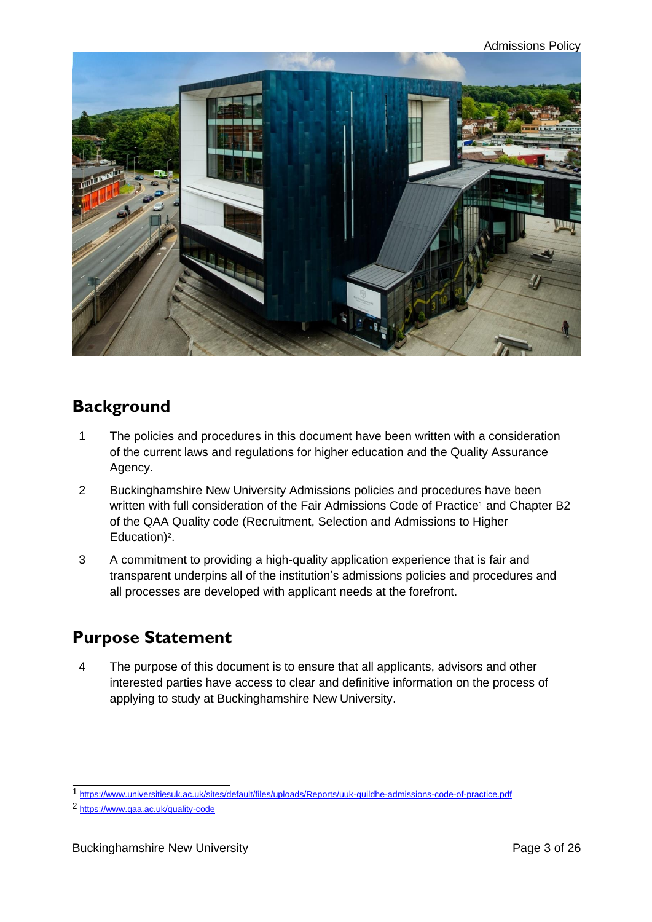

#### <span id="page-2-0"></span>**Background**

- 1 The policies and procedures in this document have been written with a consideration of the current laws and regulations for higher education and the Quality Assurance Agency.
- 2 Buckinghamshire New University Admissions policies and procedures have been written with full consideration of the Fair Admissions Code of Practice<sup>1</sup> and Chapter B2 of the QAA Quality code (Recruitment, Selection and Admissions to Higher Education)<sup>2</sup>.
- 3 A commitment to providing a high-quality application experience that is fair and transparent underpins all of the institution's admissions policies and procedures and all processes are developed with applicant needs at the forefront.

### <span id="page-2-1"></span>**Purpose Statement**

4 The purpose of this document is to ensure that all applicants, advisors and other interested parties have access to clear and definitive information on the process of applying to study at Buckinghamshire New University.

[<sup>1</sup> https://www.universitiesuk.ac.uk/sites/default/files/uploads/Reports/uuk-guildhe-admissions-code-of-practice.pdf](https://www.universitiesuk.ac.uk/sites/default/files/uploads/Reports/uuk-guildhe-admissions-code-of-practice.pdf)

[<sup>2</sup> https://www.qaa.ac.uk/quality-code](https://www.qaa.ac.uk/quality-code)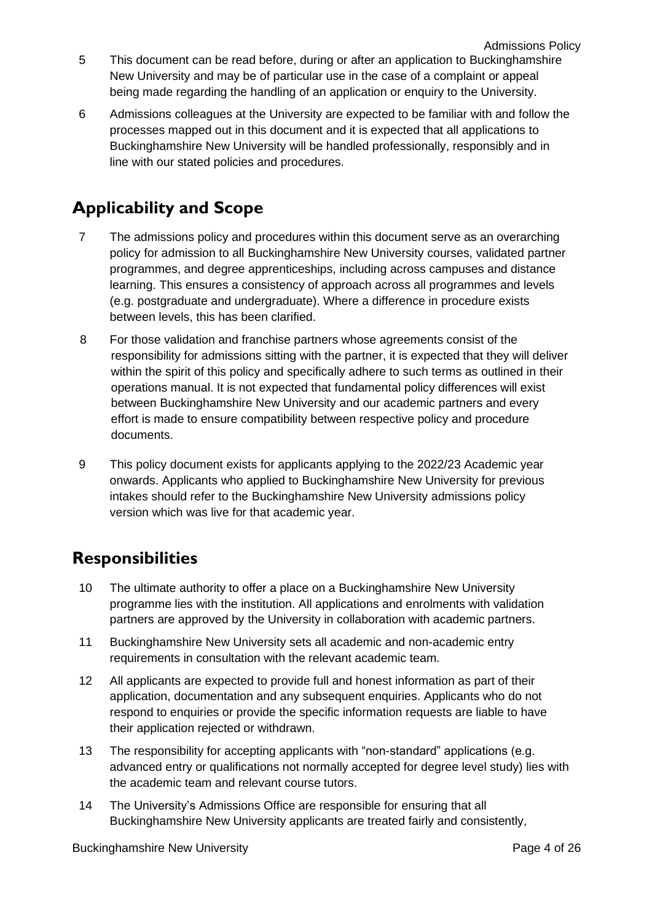- Admissions Policy 5 This document can be read before, during or after an application to Buckinghamshire New University and may be of particular use in the case of a complaint or appeal being made regarding the handling of an application or enquiry to the University.
- 6 Admissions colleagues at the University are expected to be familiar with and follow the processes mapped out in this document and it is expected that all applications to Buckinghamshire New University will be handled professionally, responsibly and in line with our stated policies and procedures.

# <span id="page-3-0"></span>**Applicability and Scope**

- 7 The admissions policy and procedures within this document serve as an overarching policy for admission to all Buckinghamshire New University courses, validated partner programmes, and degree apprenticeships, including across campuses and distance learning. This ensures a consistency of approach across all programmes and levels (e.g. postgraduate and undergraduate). Where a difference in procedure exists between levels, this has been clarified.
- 8 For those validation and franchise partners whose agreements consist of the responsibility for admissions sitting with the partner, it is expected that they will deliver within the spirit of this policy and specifically adhere to such terms as outlined in their operations manual. It is not expected that fundamental policy differences will exist between Buckinghamshire New University and our academic partners and every effort is made to ensure compatibility between respective policy and procedure documents.
- 9 This policy document exists for applicants applying to the 2022/23 Academic year onwards. Applicants who applied to Buckinghamshire New University for previous intakes should refer to the Buckinghamshire New University admissions policy version which was live for that academic year.

### <span id="page-3-1"></span>**Responsibilities**

- 10 The ultimate authority to offer a place on a Buckinghamshire New University programme lies with the institution. All applications and enrolments with validation partners are approved by the University in collaboration with academic partners.
- 11 Buckinghamshire New University sets all academic and non-academic entry requirements in consultation with the relevant academic team.
- 12 All applicants are expected to provide full and honest information as part of their application, documentation and any subsequent enquiries. Applicants who do not respond to enquiries or provide the specific information requests are liable to have their application rejected or withdrawn.
- 13 The responsibility for accepting applicants with "non-standard" applications (e.g. advanced entry or qualifications not normally accepted for degree level study) lies with the academic team and relevant course tutors.
- 14 The University's Admissions Office are responsible for ensuring that all Buckinghamshire New University applicants are treated fairly and consistently,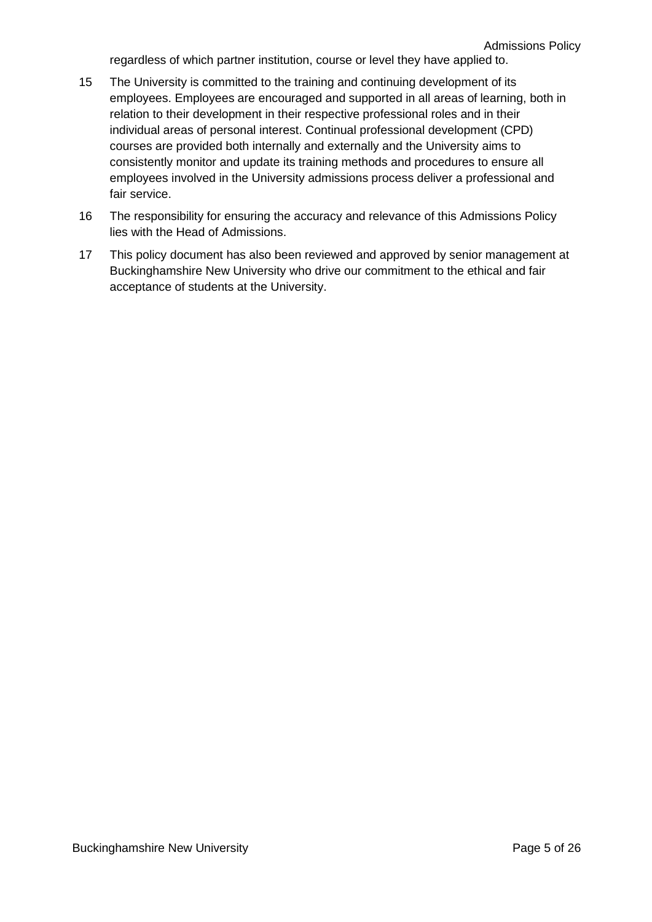regardless of which partner institution, course or level they have applied to.

- 15 The University is committed to the training and continuing development of its employees. Employees are encouraged and supported in all areas of learning, both in relation to their development in their respective professional roles and in their individual areas of personal interest. Continual professional development (CPD) courses are provided both internally and externally and the University aims to consistently monitor and update its training methods and procedures to ensure all employees involved in the University admissions process deliver a professional and fair service.
- 16 The responsibility for ensuring the accuracy and relevance of this Admissions Policy lies with the Head of Admissions.
- 17 This policy document has also been reviewed and approved by senior management at Buckinghamshire New University who drive our commitment to the ethical and fair acceptance of students at the University.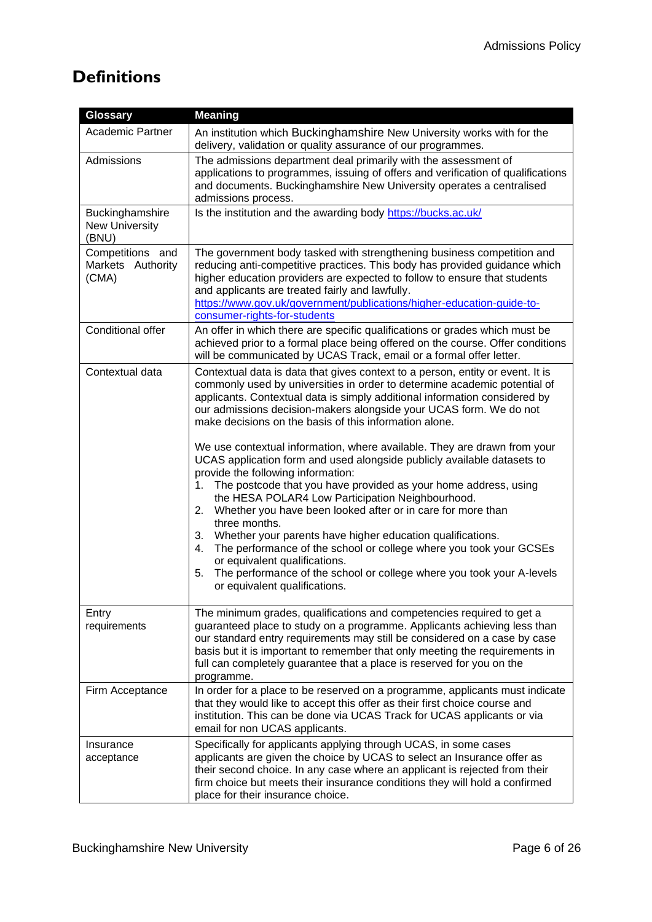# <span id="page-5-0"></span>**Definitions**

| Glossary                                          | <b>Meaning</b>                                                                                                                                                                                                                                                                                                                                                                                                                                                                                                                                                                                                                                                                                                                                                                                                                                                                                                                                                                                                                                                                             |
|---------------------------------------------------|--------------------------------------------------------------------------------------------------------------------------------------------------------------------------------------------------------------------------------------------------------------------------------------------------------------------------------------------------------------------------------------------------------------------------------------------------------------------------------------------------------------------------------------------------------------------------------------------------------------------------------------------------------------------------------------------------------------------------------------------------------------------------------------------------------------------------------------------------------------------------------------------------------------------------------------------------------------------------------------------------------------------------------------------------------------------------------------------|
| <b>Academic Partner</b>                           | An institution which Buckinghamshire New University works with for the<br>delivery, validation or quality assurance of our programmes.                                                                                                                                                                                                                                                                                                                                                                                                                                                                                                                                                                                                                                                                                                                                                                                                                                                                                                                                                     |
| Admissions                                        | The admissions department deal primarily with the assessment of<br>applications to programmes, issuing of offers and verification of qualifications<br>and documents. Buckinghamshire New University operates a centralised<br>admissions process.                                                                                                                                                                                                                                                                                                                                                                                                                                                                                                                                                                                                                                                                                                                                                                                                                                         |
| Buckinghamshire<br><b>New University</b><br>(BNU) | Is the institution and the awarding body https://bucks.ac.uk/                                                                                                                                                                                                                                                                                                                                                                                                                                                                                                                                                                                                                                                                                                                                                                                                                                                                                                                                                                                                                              |
| Competitions and<br>Markets Authority<br>(CMA)    | The government body tasked with strengthening business competition and<br>reducing anti-competitive practices. This body has provided guidance which<br>higher education providers are expected to follow to ensure that students<br>and applicants are treated fairly and lawfully.<br>https://www.gov.uk/government/publications/higher-education-guide-to-<br>consumer-rights-for-students                                                                                                                                                                                                                                                                                                                                                                                                                                                                                                                                                                                                                                                                                              |
| Conditional offer                                 | An offer in which there are specific qualifications or grades which must be<br>achieved prior to a formal place being offered on the course. Offer conditions<br>will be communicated by UCAS Track, email or a formal offer letter.                                                                                                                                                                                                                                                                                                                                                                                                                                                                                                                                                                                                                                                                                                                                                                                                                                                       |
| Contextual data                                   | Contextual data is data that gives context to a person, entity or event. It is<br>commonly used by universities in order to determine academic potential of<br>applicants. Contextual data is simply additional information considered by<br>our admissions decision-makers alongside your UCAS form. We do not<br>make decisions on the basis of this information alone.<br>We use contextual information, where available. They are drawn from your<br>UCAS application form and used alongside publicly available datasets to<br>provide the following information:<br>The postcode that you have provided as your home address, using<br>1.<br>the HESA POLAR4 Low Participation Neighbourhood.<br>Whether you have been looked after or in care for more than<br>2.<br>three months.<br>Whether your parents have higher education qualifications.<br>3.<br>The performance of the school or college where you took your GCSEs<br>4.<br>or equivalent qualifications.<br>The performance of the school or college where you took your A-levels<br>5.<br>or equivalent qualifications. |
| Entry<br>requirements                             | The minimum grades, qualifications and competencies required to get a<br>guaranteed place to study on a programme. Applicants achieving less than<br>our standard entry requirements may still be considered on a case by case<br>basis but it is important to remember that only meeting the requirements in<br>full can completely guarantee that a place is reserved for you on the<br>programme.                                                                                                                                                                                                                                                                                                                                                                                                                                                                                                                                                                                                                                                                                       |
| Firm Acceptance                                   | In order for a place to be reserved on a programme, applicants must indicate<br>that they would like to accept this offer as their first choice course and<br>institution. This can be done via UCAS Track for UCAS applicants or via<br>email for non UCAS applicants.                                                                                                                                                                                                                                                                                                                                                                                                                                                                                                                                                                                                                                                                                                                                                                                                                    |
| Insurance<br>acceptance                           | Specifically for applicants applying through UCAS, in some cases<br>applicants are given the choice by UCAS to select an Insurance offer as<br>their second choice. In any case where an applicant is rejected from their<br>firm choice but meets their insurance conditions they will hold a confirmed<br>place for their insurance choice.                                                                                                                                                                                                                                                                                                                                                                                                                                                                                                                                                                                                                                                                                                                                              |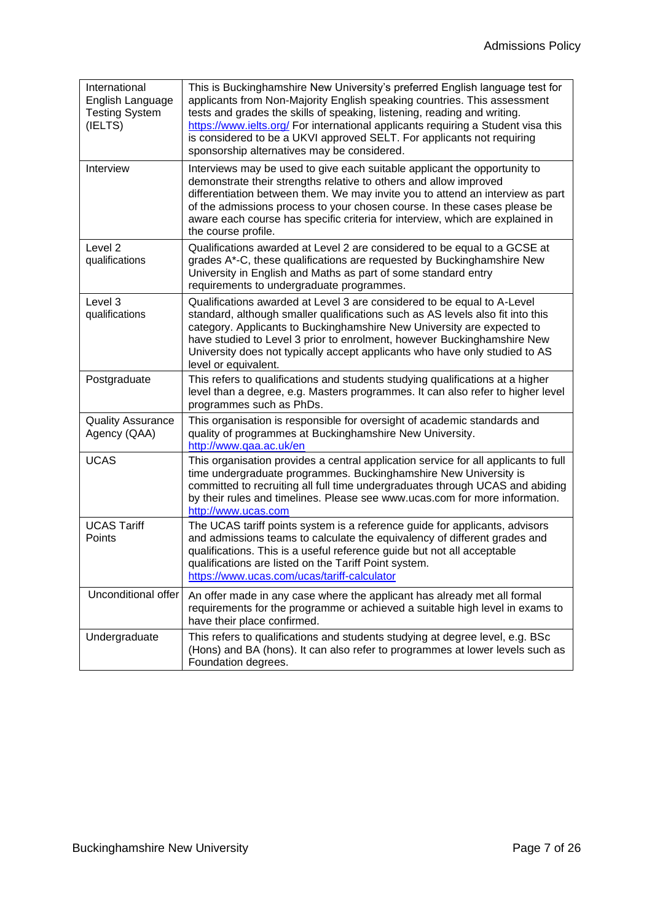| International<br>English Language<br><b>Testing System</b><br>(IELTS) | This is Buckinghamshire New University's preferred English language test for<br>applicants from Non-Majority English speaking countries. This assessment<br>tests and grades the skills of speaking, listening, reading and writing.<br>https://www.ielts.org/ For international applicants requiring a Student visa this<br>is considered to be a UKVI approved SELT. For applicants not requiring<br>sponsorship alternatives may be considered. |
|-----------------------------------------------------------------------|----------------------------------------------------------------------------------------------------------------------------------------------------------------------------------------------------------------------------------------------------------------------------------------------------------------------------------------------------------------------------------------------------------------------------------------------------|
| Interview                                                             | Interviews may be used to give each suitable applicant the opportunity to<br>demonstrate their strengths relative to others and allow improved<br>differentiation between them. We may invite you to attend an interview as part<br>of the admissions process to your chosen course. In these cases please be<br>aware each course has specific criteria for interview, which are explained in<br>the course profile.                              |
| Level <sub>2</sub><br>qualifications                                  | Qualifications awarded at Level 2 are considered to be equal to a GCSE at<br>grades A*-C, these qualifications are requested by Buckinghamshire New<br>University in English and Maths as part of some standard entry<br>requirements to undergraduate programmes.                                                                                                                                                                                 |
| Level 3<br>qualifications                                             | Qualifications awarded at Level 3 are considered to be equal to A-Level<br>standard, although smaller qualifications such as AS levels also fit into this<br>category. Applicants to Buckinghamshire New University are expected to<br>have studied to Level 3 prior to enrolment, however Buckinghamshire New<br>University does not typically accept applicants who have only studied to AS<br>level or equivalent.                              |
| Postgraduate                                                          | This refers to qualifications and students studying qualifications at a higher<br>level than a degree, e.g. Masters programmes. It can also refer to higher level<br>programmes such as PhDs.                                                                                                                                                                                                                                                      |
| <b>Quality Assurance</b><br>Agency (QAA)                              | This organisation is responsible for oversight of academic standards and<br>quality of programmes at Buckinghamshire New University.<br>http://www.qaa.ac.uk/en                                                                                                                                                                                                                                                                                    |
| <b>UCAS</b>                                                           | This organisation provides a central application service for all applicants to full<br>time undergraduate programmes. Buckinghamshire New University is<br>committed to recruiting all full time undergraduates through UCAS and abiding<br>by their rules and timelines. Please see www.ucas.com for more information.<br>http://www.ucas.com                                                                                                     |
| <b>UCAS Tariff</b><br>Points                                          | The UCAS tariff points system is a reference guide for applicants, advisors<br>and admissions teams to calculate the equivalency of different grades and<br>qualifications. This is a useful reference guide but not all acceptable<br>qualifications are listed on the Tariff Point system.<br>https://www.ucas.com/ucas/tariff-calculator                                                                                                        |
| Unconditional offer                                                   | An offer made in any case where the applicant has already met all formal<br>requirements for the programme or achieved a suitable high level in exams to<br>have their place confirmed.                                                                                                                                                                                                                                                            |
| Undergraduate                                                         | This refers to qualifications and students studying at degree level, e.g. BSc<br>(Hons) and BA (hons). It can also refer to programmes at lower levels such as<br>Foundation degrees.                                                                                                                                                                                                                                                              |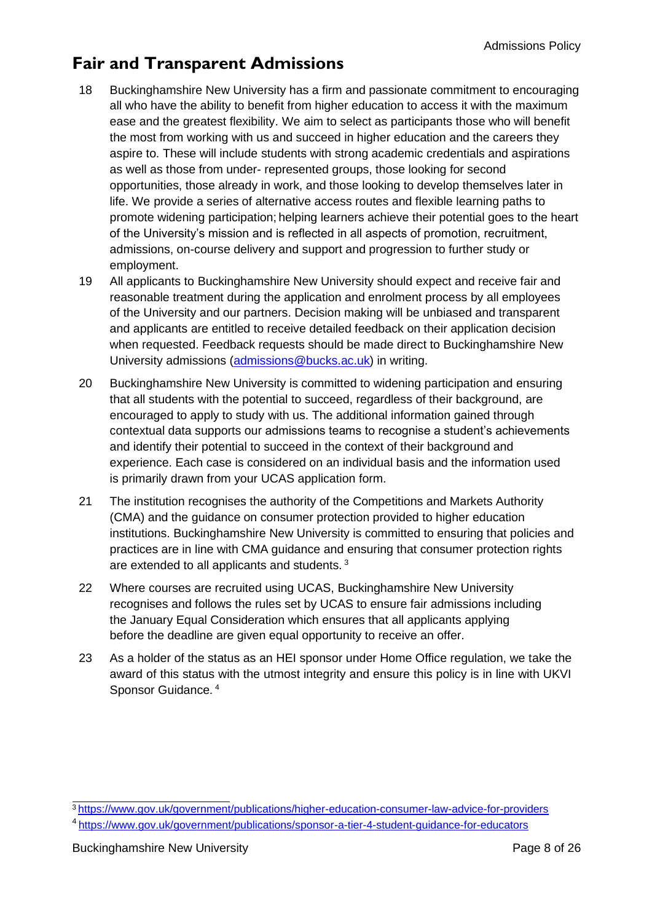# <span id="page-7-0"></span>**Fair and Transparent Admissions**

- 18 Buckinghamshire New University has a firm and passionate commitment to encouraging all who have the ability to benefit from higher education to access it with the maximum ease and the greatest flexibility. We aim to select as participants those who will benefit the most from working with us and succeed in higher education and the careers they aspire to. These will include students with strong academic credentials and aspirations as well as those from under- represented groups, those looking for second opportunities, those already in work, and those looking to develop themselves later in life. We provide a series of alternative access routes and flexible learning paths to promote widening participation; helping learners achieve their potential goes to the heart of the University's mission and is reflected in all aspects of promotion, recruitment, admissions, on-course delivery and support and progression to further study or employment.
- 19 All applicants to Buckinghamshire New University should expect and receive fair and reasonable treatment during the application and enrolment process by all employees of the University and our partners. Decision making will be unbiased and transparent and applicants are entitled to receive detailed feedback on their application decision when requested. Feedback requests should be made direct to Buckinghamshire New University admissions [\(admissions@bucks.ac.uk\)](mailto:admissions@bucks.ac.uk) in writing.
- 20 Buckinghamshire New University is committed to widening participation and ensuring that all students with the potential to succeed, regardless of their background, are encouraged to apply to study with us. The additional information gained through contextual data supports our admissions teams to recognise a student's achievements and identify their potential to succeed in the context of their background and experience. Each case is considered on an individual basis and the information used is primarily drawn from your UCAS application form.
- 21 The institution recognises the authority of the Competitions and Markets Authority (CMA) and the guidance on consumer protection provided to higher education institutions. Buckinghamshire New University is committed to ensuring that policies and practices are in line with CMA guidance and ensuring that consumer protection rights are extended to all applicants and students. <sup>3</sup>
- 22 Where courses are recruited using UCAS, Buckinghamshire New University recognises and follows the rules set by UCAS to ensure fair admissions including the January Equal Consideration which ensures that all applicants applying before the deadline are given equal opportunity to receive an offer.
- 23 As a holder of the status as an HEI sponsor under Home Office regulation, we take the award of this status with the utmost integrity and ensure this policy is in line with UKVI Sponsor Guidance. <sup>4</sup>

<sup>3</sup> <https://www.gov.uk/government/publications/higher-education-consumer-law-advice-for-providers>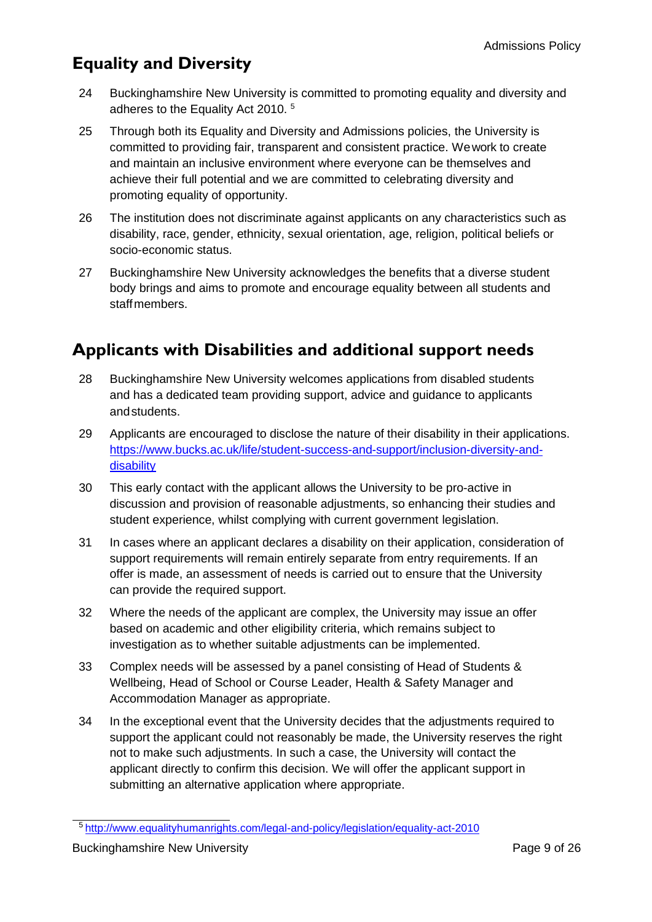# <span id="page-8-0"></span>**Equality and Diversity**

- 24 Buckinghamshire New University is committed to promoting equality and diversity and adheres to the Equality Act 2010. <sup>5</sup>
- 25 Through both its Equality and Diversity and Admissions policies, the University is committed to providing fair, transparent and consistent practice. Wework to create and maintain an inclusive environment where everyone can be themselves and achieve their full potential and we are committed to celebrating diversity and promoting equality of opportunity.
- 26 The institution does not discriminate against applicants on any characteristics such as disability, race, gender, ethnicity, sexual orientation, age, religion, political beliefs or socio-economic status.
- 27 Buckinghamshire New University acknowledges the benefits that a diverse student body brings and aims to promote and encourage equality between all students and staffmembers.

### <span id="page-8-1"></span>**Applicants with Disabilities and additional support needs**

- 28 Buckinghamshire New University welcomes applications from disabled students and has a dedicated team providing support, advice and guidance to applicants andstudents.
- 29 Applicants are encouraged to disclose the nature of their disability in their applications. [https://www.bucks.ac.uk/life/student-success-and-support/inclusion-diversity-and](https://www.bucks.ac.uk/life/student-success-and-support/inclusion-diversity-and-disability)**[disability](https://www.bucks.ac.uk/life/student-success-and-support/inclusion-diversity-and-disability)**
- 30 This early contact with the applicant allows the University to be pro-active in discussion and provision of reasonable adjustments, so enhancing their studies and student experience, whilst complying with current government legislation.
- 31 In cases where an applicant declares a disability on their application, consideration of support requirements will remain entirely separate from entry requirements. If an offer is made, an assessment of needs is carried out to ensure that the University can provide the required support.
- 32 Where the needs of the applicant are complex, the University may issue an offer based on academic and other eligibility criteria, which remains subject to investigation as to whether suitable adjustments can be implemented.
- 33 Complex needs will be assessed by a panel consisting of Head of Students & Wellbeing, Head of School or Course Leader, Health & Safety Manager and Accommodation Manager as appropriate.
- 34 In the exceptional event that the University decides that the adjustments required to support the applicant could not reasonably be made, the University reserves the right not to make such adjustments. In such a case, the University will contact the applicant directly to confirm this decision. We will offer the applicant support in submitting an alternative application where appropriate.

<sup>5</sup> <http://www.equalityhumanrights.com/legal-and-policy/legislation/equality-act-2010>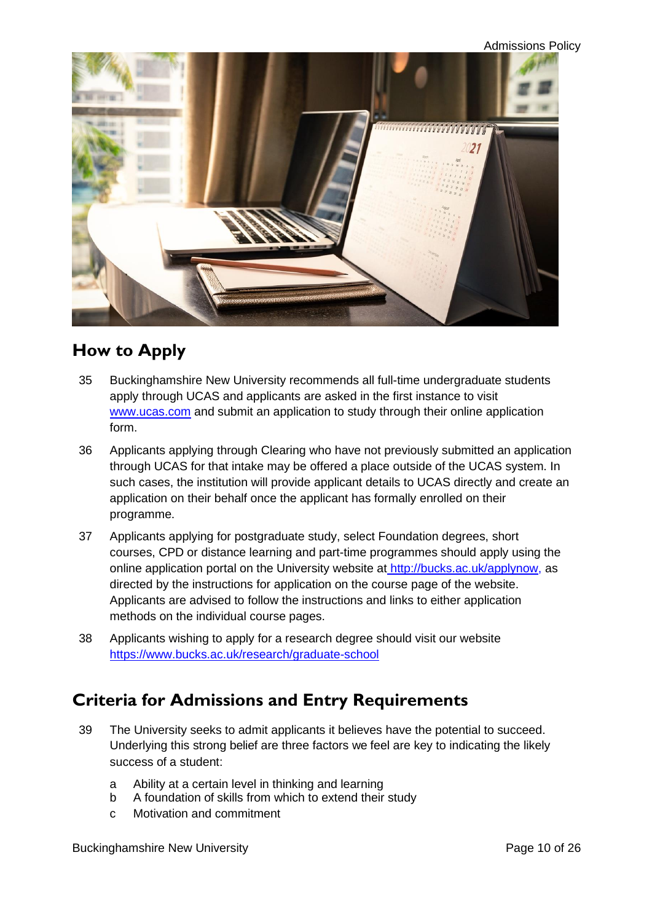Admissions Policy



### <span id="page-9-0"></span>**How to Apply**

- 35 Buckinghamshire New University recommends all full-time undergraduate students apply through UCAS and applicants are asked in the first instance to visit [www.ucas.com](http://www.ucas.com/) and submit an application to study through their online application form.
- 36 Applicants applying through Clearing who have not previously submitted an application through UCAS for that intake may be offered a place outside of the UCAS system. In such cases, the institution will provide applicant details to UCAS directly and create an application on their behalf once the applicant has formally enrolled on their programme.
- 37 Applicants applying for postgraduate study, select Foundation degrees, short courses, CPD or distance learning and part-time programmes should apply using the online application portal on the University website at [http://bucks.ac.uk/applynow, a](http://bucks.ac.uk/applynow)s directed by the instructions for application on the course page of the website. Applicants are advised to follow the instructions and links to either application methods on the individual course pages.
- 38 Applicants wishing to apply for a research degree should visit our website <https://www.bucks.ac.uk/research/graduate-school>

### <span id="page-9-1"></span>**Criteria for Admissions and Entry Requirements**

- 39 The University seeks to admit applicants it believes have the potential to succeed. Underlying this strong belief are three factors we feel are key to indicating the likely success of a student:
	- a Ability at a certain level in thinking and learning
	- b A foundation of skills from which to extend their study
	- c Motivation and commitment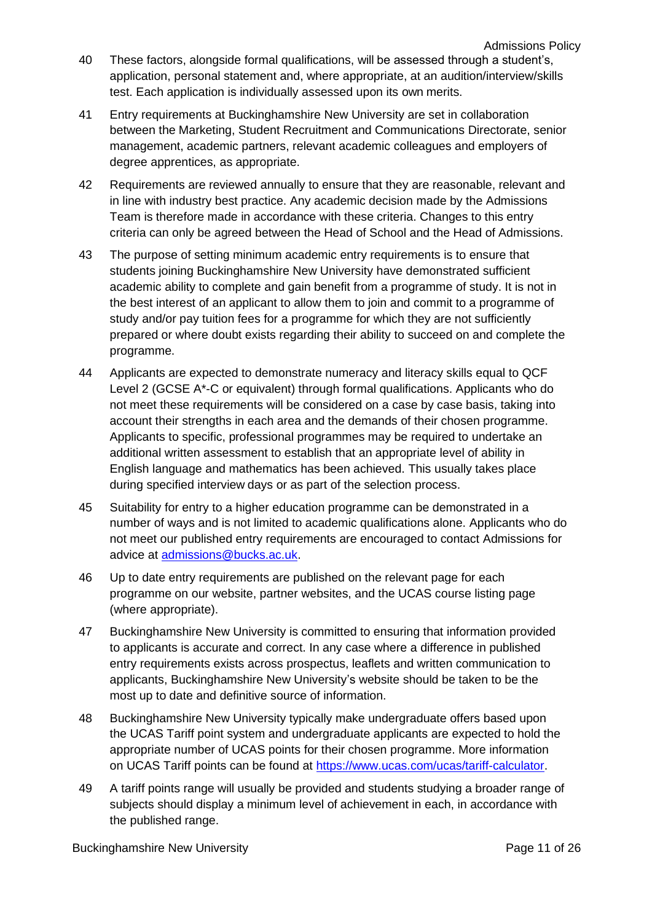- Admissions Policy 40 These factors, alongside formal qualifications, will be assessed through a student's, application, personal statement and, where appropriate, at an audition/interview/skills test. Each application is individually assessed upon its own merits.
- 41 Entry requirements at Buckinghamshire New University are set in collaboration between the Marketing, Student Recruitment and Communications Directorate, senior management, academic partners, relevant academic colleagues and employers of degree apprentices, as appropriate.
- 42 Requirements are reviewed annually to ensure that they are reasonable, relevant and in line with industry best practice. Any academic decision made by the Admissions Team is therefore made in accordance with these criteria. Changes to this entry criteria can only be agreed between the Head of School and the Head of Admissions.
- 43 The purpose of setting minimum academic entry requirements is to ensure that students joining Buckinghamshire New University have demonstrated sufficient academic ability to complete and gain benefit from a programme of study. It is not in the best interest of an applicant to allow them to join and commit to a programme of study and/or pay tuition fees for a programme for which they are not sufficiently prepared or where doubt exists regarding their ability to succeed on and complete the programme.
- 44 Applicants are expected to demonstrate numeracy and literacy skills equal to QCF Level 2 (GCSE A\*-C or equivalent) through formal qualifications. Applicants who do not meet these requirements will be considered on a case by case basis, taking into account their strengths in each area and the demands of their chosen programme. Applicants to specific, professional programmes may be required to undertake an additional written assessment to establish that an appropriate level of ability in English language and mathematics has been achieved. This usually takes place during specified interview days or as part of the selection process.
- 45 Suitability for entry to a higher education programme can be demonstrated in a number of ways and is not limited to academic qualifications alone. Applicants who do not meet our published entry requirements are encouraged to contact Admissions for advice at [admissions@bucks.ac.uk.](mailto:admissions@bucks.ac.uk)
- 46 Up to date entry requirements are published on the relevant page for each programme on our website, partner websites, and the UCAS course listing page (where appropriate).
- 47 Buckinghamshire New University is committed to ensuring that information provided to applicants is accurate and correct. In any case where a difference in published entry requirements exists across prospectus, leaflets and written communication to applicants, Buckinghamshire New University's website should be taken to be the most up to date and definitive source of information.
- 48 Buckinghamshire New University typically make undergraduate offers based upon the UCAS Tariff point system and undergraduate applicants are expected to hold the appropriate number of UCAS points for their chosen programme. More information on UCAS Tariff points can be found at [https://www.ucas.com/ucas/tariff-calculator.](https://www.ucas.com/ucas/tariff-calculator)
- 49 A tariff points range will usually be provided and students studying a broader range of subjects should display a minimum level of achievement in each, in accordance with the published range.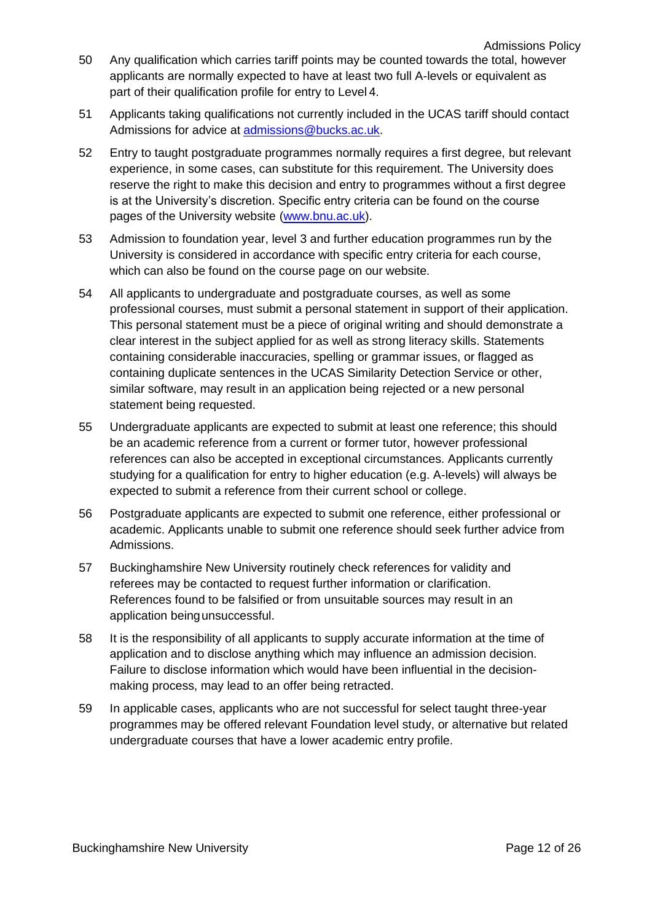- 50 Any qualification which carries tariff points may be counted towards the total, however applicants are normally expected to have at least two full A-levels or equivalent as part of their qualification profile for entry to Level 4.
- 51 Applicants taking qualifications not currently included in the UCAS tariff should contact Admissions for advice at [admissions@bucks.ac.uk.](mailto:admissions@bucks.ac.uk)
- 52 Entry to taught postgraduate programmes normally requires a first degree, but relevant experience, in some cases, can substitute for this requirement. The University does reserve the right to make this decision and entry to programmes without a first degree is at the University's discretion. Specific entry criteria can be found on the course pages of the University website [\(www.bnu.ac.uk\)](http://www.bnu.ac.uk/).
- 53 Admission to foundation year, level 3 and further education programmes run by the University is considered in accordance with specific entry criteria for each course, which can also be found on the course page on our website.
- 54 All applicants to undergraduate and postgraduate courses, as well as some professional courses, must submit a personal statement in support of their application. This personal statement must be a piece of original writing and should demonstrate a clear interest in the subject applied for as well as strong literacy skills. Statements containing considerable inaccuracies, spelling or grammar issues, or flagged as containing duplicate sentences in the UCAS Similarity Detection Service or other, similar software, may result in an application being rejected or a new personal statement being requested.
- 55 Undergraduate applicants are expected to submit at least one reference; this should be an academic reference from a current or former tutor, however professional references can also be accepted in exceptional circumstances. Applicants currently studying for a qualification for entry to higher education (e.g. A-levels) will always be expected to submit a reference from their current school or college.
- 56 Postgraduate applicants are expected to submit one reference, either professional or academic. Applicants unable to submit one reference should seek further advice from Admissions.
- 57 Buckinghamshire New University routinely check references for validity and referees may be contacted to request further information or clarification. References found to be falsified or from unsuitable sources may result in an application beingunsuccessful.
- 58 It is the responsibility of all applicants to supply accurate information at the time of application and to disclose anything which may influence an admission decision. Failure to disclose information which would have been influential in the decisionmaking process, may lead to an offer being retracted.
- 59 In applicable cases, applicants who are not successful for select taught three-year programmes may be offered relevant Foundation level study, or alternative but related undergraduate courses that have a lower academic entry profile.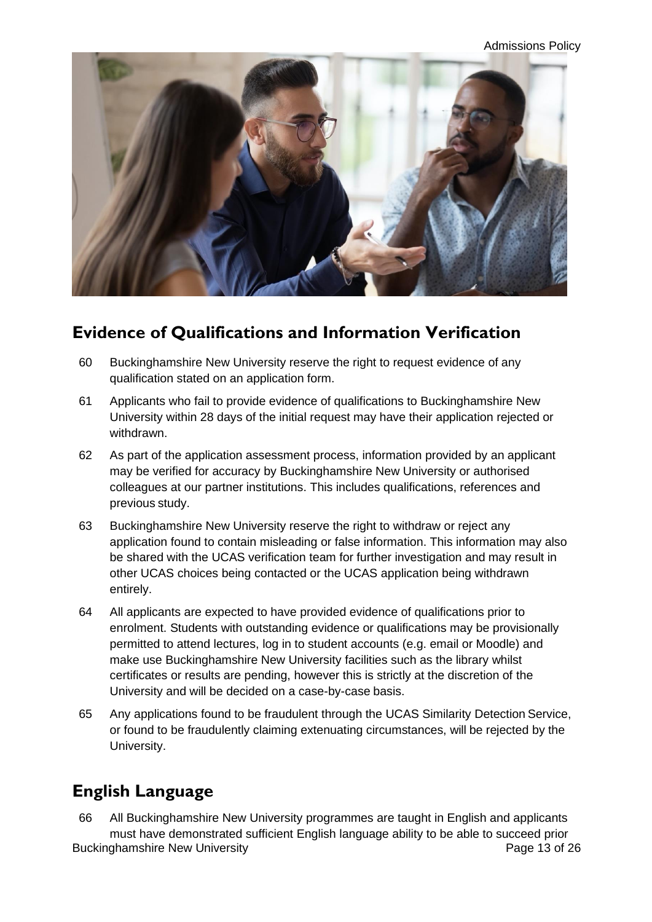Admissions Policy



### <span id="page-12-0"></span>**Evidence of Qualifications and Information Verification**

- 60 Buckinghamshire New University reserve the right to request evidence of any qualification stated on an application form.
- 61 Applicants who fail to provide evidence of qualifications to Buckinghamshire New University within 28 days of the initial request may have their application rejected or withdrawn.
- 62 As part of the application assessment process, information provided by an applicant may be verified for accuracy by Buckinghamshire New University or authorised colleagues at our partner institutions. This includes qualifications, references and previous study.
- 63 Buckinghamshire New University reserve the right to withdraw or reject any application found to contain misleading or false information. This information may also be shared with the UCAS verification team for further investigation and may result in other UCAS choices being contacted or the UCAS application being withdrawn entirely.
- 64 All applicants are expected to have provided evidence of qualifications prior to enrolment. Students with outstanding evidence or qualifications may be provisionally permitted to attend lectures, log in to student accounts (e.g. email or Moodle) and make use Buckinghamshire New University facilities such as the library whilst certificates or results are pending, however this is strictly at the discretion of the University and will be decided on a case-by-case basis.
- 65 Any applications found to be fraudulent through the UCAS Similarity Detection Service, or found to be fraudulently claiming extenuating circumstances, will be rejected by the University.

# <span id="page-12-1"></span>**English Language**

Buckinghamshire New University **Page 13 of 26** 66 All Buckinghamshire New University programmes are taught in English and applicants must have demonstrated sufficient English language ability to be able to succeed prior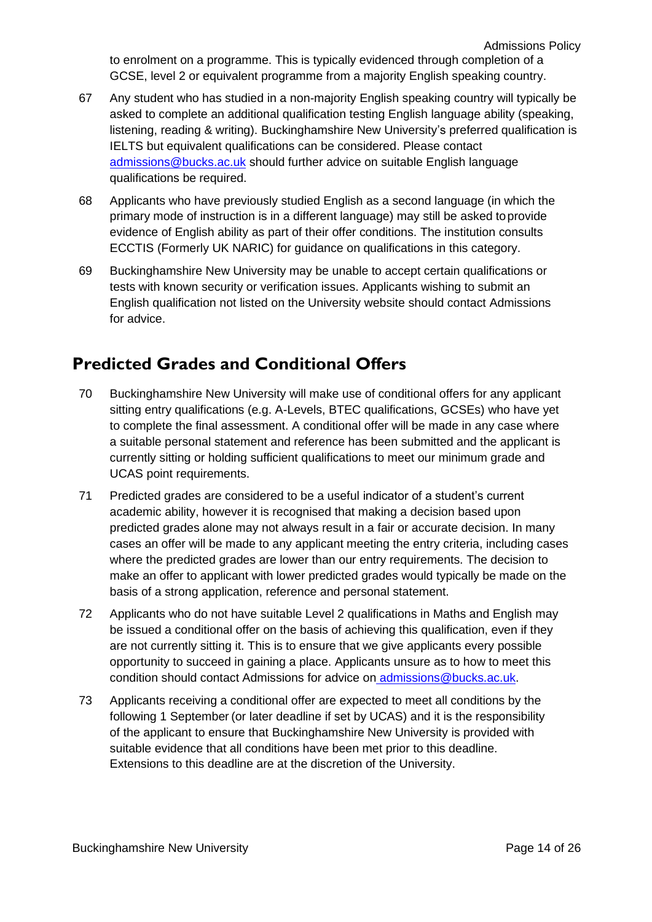Admissions Policy to enrolment on a programme. This is typically evidenced through completion of a GCSE, level 2 or equivalent programme from a majority English speaking country.

- 67 Any student who has studied in a non-majority English speaking country will typically be asked to complete an additional qualification testing English language ability (speaking, listening, reading & writing). Buckinghamshire New University's preferred qualification is IELTS but equivalent qualifications can be considered. Please contact [admissions@bucks.ac.uk](mailto:admissions@bucks.ac.uk) should further advice on suitable English language qualifications be required.
- 68 Applicants who have previously studied English as a second language (in which the primary mode of instruction is in a different language) may still be asked toprovide evidence of English ability as part of their offer conditions. The institution consults ECCTIS (Formerly UK NARIC) for guidance on qualifications in this category.
- 69 Buckinghamshire New University may be unable to accept certain qualifications or tests with known security or verification issues. Applicants wishing to submit an English qualification not listed on the University website should contact Admissions for advice.

# <span id="page-13-0"></span>**Predicted Grades and Conditional Offers**

- 70 Buckinghamshire New University will make use of conditional offers for any applicant sitting entry qualifications (e.g. A-Levels, BTEC qualifications, GCSEs) who have yet to complete the final assessment. A conditional offer will be made in any case where a suitable personal statement and reference has been submitted and the applicant is currently sitting or holding sufficient qualifications to meet our minimum grade and UCAS point requirements.
- 71 Predicted grades are considered to be a useful indicator of a student's current academic ability, however it is recognised that making a decision based upon predicted grades alone may not always result in a fair or accurate decision. In many cases an offer will be made to any applicant meeting the entry criteria, including cases where the predicted grades are lower than our entry requirements. The decision to make an offer to applicant with lower predicted grades would typically be made on the basis of a strong application, reference and personal statement.
- 72 Applicants who do not have suitable Level 2 qualifications in Maths and English may be issued a conditional offer on the basis of achieving this qualification, even if they are not currently sitting it. This is to ensure that we give applicants every possible opportunity to succeed in gaining a place. Applicants unsure as to how to meet this condition should contact Admissions for advice on [admissions@bucks.ac.uk.](mailto:admissions@bucks.ac.uk)
- 73 Applicants receiving a conditional offer are expected to meet all conditions by the following 1 September (or later deadline if set by UCAS) and it is the responsibility of the applicant to ensure that Buckinghamshire New University is provided with suitable evidence that all conditions have been met prior to this deadline. Extensions to this deadline are at the discretion of the University.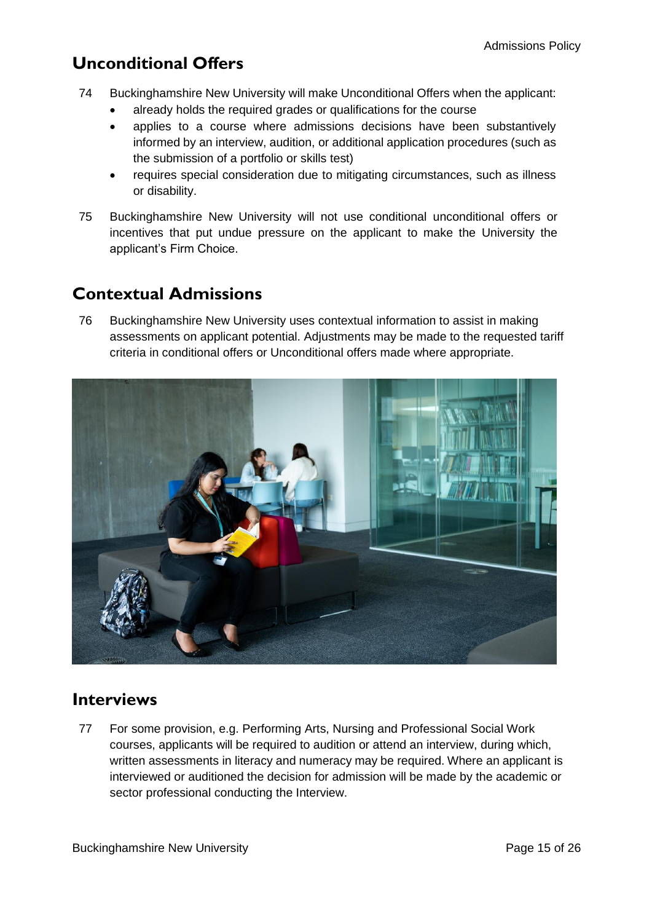# <span id="page-14-0"></span>**Unconditional Offers**

- 74 Buckinghamshire New University will make Unconditional Offers when the applicant:
	- already holds the required grades or qualifications for the course
	- applies to a course where admissions decisions have been substantively informed by an interview, audition, or additional application procedures (such as the submission of a portfolio or skills test)
	- requires special consideration due to mitigating circumstances, such as illness or disability.
- 75 Buckinghamshire New University will not use conditional unconditional offers or incentives that put undue pressure on the applicant to make the University the applicant's Firm Choice.

# <span id="page-14-1"></span>**Contextual Admissions**

76 Buckinghamshire New University uses contextual information to assist in making assessments on applicant potential. Adjustments may be made to the requested tariff criteria in conditional offers or Unconditional offers made where appropriate.



#### <span id="page-14-2"></span>**Interviews**

77 For some provision, e.g. Performing Arts, Nursing and Professional Social Work courses, applicants will be required to audition or attend an interview, during which, written assessments in literacy and numeracy may be required. Where an applicant is interviewed or auditioned the decision for admission will be made by the academic or sector professional conducting the Interview.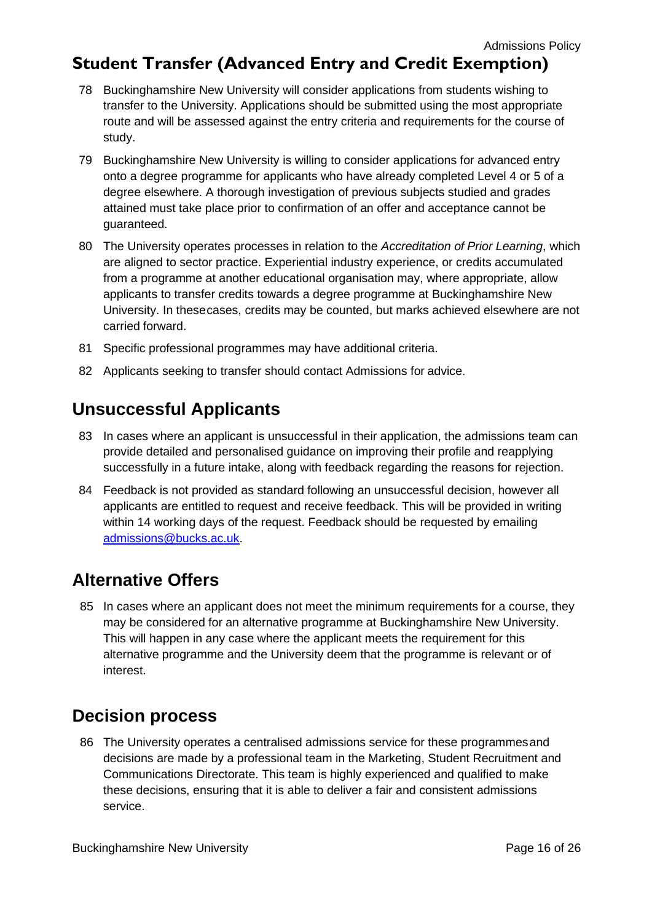# <span id="page-15-0"></span>**Student Transfer (Advanced Entry and Credit Exemption)**

- 78 Buckinghamshire New University will consider applications from students wishing to transfer to the University. Applications should be submitted using the most appropriate route and will be assessed against the entry criteria and requirements for the course of study.
- 79 Buckinghamshire New University is willing to consider applications for advanced entry onto a degree programme for applicants who have already completed Level 4 or 5 of a degree elsewhere. A thorough investigation of previous subjects studied and grades attained must take place prior to confirmation of an offer and acceptance cannot be guaranteed.
- 80 The University operates processes in relation to the *Accreditation of Prior Learning*, which are aligned to sector practice. Experiential industry experience, or credits accumulated from a programme at another educational organisation may, where appropriate, allow applicants to transfer credits towards a degree programme at Buckinghamshire New University. In thesecases, credits may be counted, but marks achieved elsewhere are not carried forward.
- 81 Specific professional programmes may have additional criteria.
- 82 Applicants seeking to transfer should contact Admissions for advice.

### <span id="page-15-1"></span>**Unsuccessful Applicants**

- 83 In cases where an applicant is unsuccessful in their application, the admissions team can provide detailed and personalised guidance on improving their profile and reapplying successfully in a future intake, along with feedback regarding the reasons for rejection.
- 84 Feedback is not provided as standard following an unsuccessful decision, however all applicants are entitled to request and receive feedback. This will be provided in writing within 14 working days of the request. Feedback should be requested by emailing [admissions@bucks.ac.uk.](mailto:admissions@bucks.ac.uk)

### <span id="page-15-2"></span>**Alternative Offers**

85 In cases where an applicant does not meet the minimum requirements for a course, they may be considered for an alternative programme at Buckinghamshire New University. This will happen in any case where the applicant meets the requirement for this alternative programme and the University deem that the programme is relevant or of interest.

### <span id="page-15-3"></span>**Decision process**

86 The University operates a centralised admissions service for these programmesand decisions are made by a professional team in the Marketing, Student Recruitment and Communications Directorate. This team is highly experienced and qualified to make these decisions, ensuring that it is able to deliver a fair and consistent admissions service.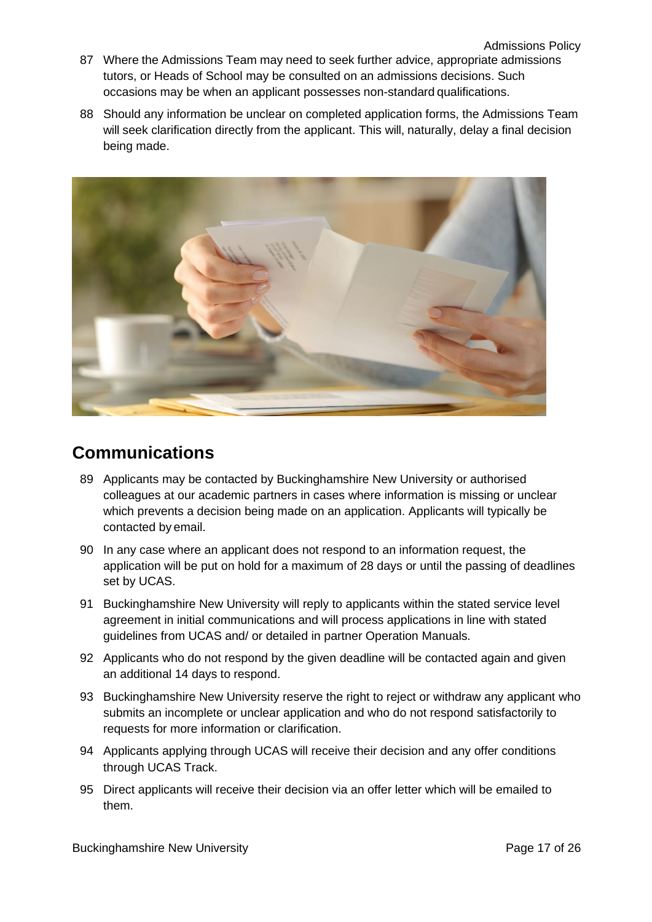- 87 Where the Admissions Team may need to seek further advice, appropriate admissions tutors, or Heads of School may be consulted on an admissions decisions. Such occasions may be when an applicant possesses non-standard qualifications.
- 88 Should any information be unclear on completed application forms, the Admissions Team will seek clarification directly from the applicant. This will, naturally, delay a final decision being made.



#### <span id="page-16-0"></span>**Communications**

- 89 Applicants may be contacted by Buckinghamshire New University or authorised colleagues at our academic partners in cases where information is missing or unclear which prevents a decision being made on an application. Applicants will typically be contacted by email.
- 90 In any case where an applicant does not respond to an information request, the application will be put on hold for a maximum of 28 days or until the passing of deadlines set by UCAS.
- 91 Buckinghamshire New University will reply to applicants within the stated service level agreement in initial communications and will process applications in line with stated guidelines from UCAS and/ or detailed in partner Operation Manuals.
- 92 Applicants who do not respond by the given deadline will be contacted again and given an additional 14 days to respond.
- 93 Buckinghamshire New University reserve the right to reject or withdraw any applicant who submits an incomplete or unclear application and who do not respond satisfactorily to requests for more information or clarification.
- 94 Applicants applying through UCAS will receive their decision and any offer conditions through UCAS Track.
- 95 Direct applicants will receive their decision via an offer letter which will be emailed to them.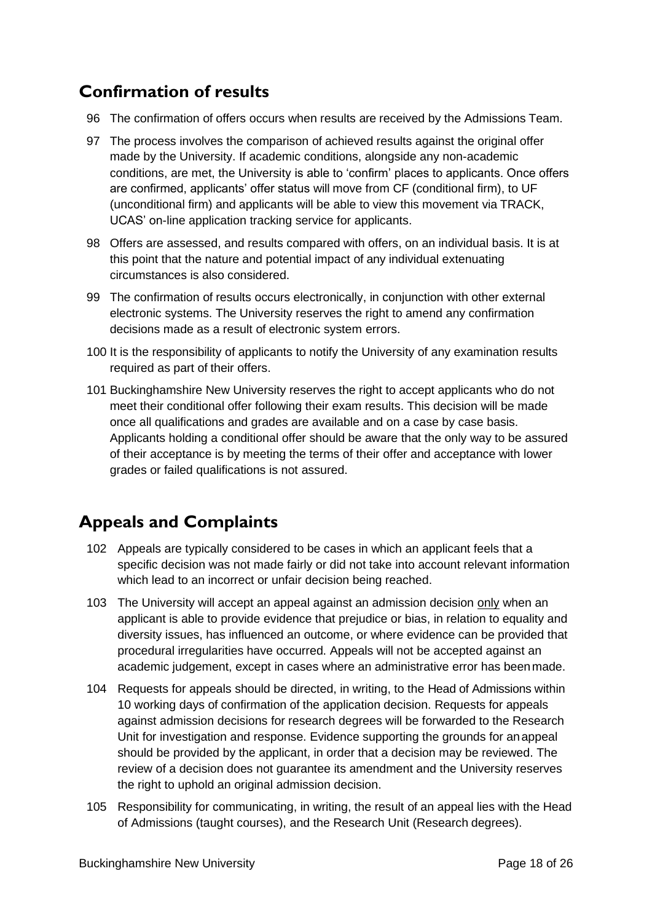# <span id="page-17-0"></span>**Confirmation of results**

- 96 The confirmation of offers occurs when results are received by the Admissions Team.
- 97 The process involves the comparison of achieved results against the original offer made by the University. If academic conditions, alongside any non-academic conditions, are met, the University is able to 'confirm' places to applicants. Once offers are confirmed, applicants' offer status will move from CF (conditional firm), to UF (unconditional firm) and applicants will be able to view this movement via TRACK, UCAS' on-line application tracking service for applicants.
- 98 Offers are assessed, and results compared with offers, on an individual basis. It is at this point that the nature and potential impact of any individual extenuating circumstances is also considered.
- 99 The confirmation of results occurs electronically, in conjunction with other external electronic systems. The University reserves the right to amend any confirmation decisions made as a result of electronic system errors.
- 100 It is the responsibility of applicants to notify the University of any examination results required as part of their offers.
- 101 Buckinghamshire New University reserves the right to accept applicants who do not meet their conditional offer following their exam results. This decision will be made once all qualifications and grades are available and on a case by case basis. Applicants holding a conditional offer should be aware that the only way to be assured of their acceptance is by meeting the terms of their offer and acceptance with lower grades or failed qualifications is not assured.

# <span id="page-17-1"></span>**Appeals and Complaints**

- 102 Appeals are typically considered to be cases in which an applicant feels that a specific decision was not made fairly or did not take into account relevant information which lead to an incorrect or unfair decision being reached.
- 103 The University will accept an appeal against an admission decision only when an applicant is able to provide evidence that prejudice or bias, in relation to equality and diversity issues, has influenced an outcome, or where evidence can be provided that procedural irregularities have occurred. Appeals will not be accepted against an academic judgement, except in cases where an administrative error has beenmade.
- 104 Requests for appeals should be directed, in writing, to the Head of Admissions within 10 working days of confirmation of the application decision. Requests for appeals against admission decisions for research degrees will be forwarded to the Research Unit for investigation and response. Evidence supporting the grounds for anappeal should be provided by the applicant, in order that a decision may be reviewed. The review of a decision does not guarantee its amendment and the University reserves the right to uphold an original admission decision.
- 105 Responsibility for communicating, in writing, the result of an appeal lies with the Head of Admissions (taught courses), and the Research Unit (Research degrees).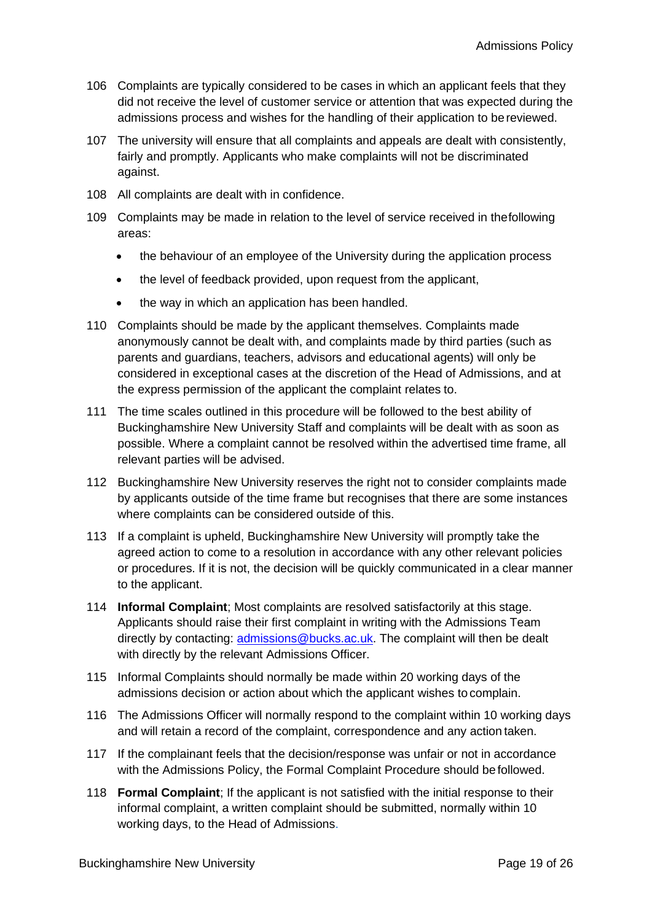- 106 Complaints are typically considered to be cases in which an applicant feels that they did not receive the level of customer service or attention that was expected during the admissions process and wishes for the handling of their application to bereviewed.
- 107 The university will ensure that all complaints and appeals are dealt with consistently, fairly and promptly. Applicants who make complaints will not be discriminated against.
- 108 All complaints are dealt with in confidence.
- 109 Complaints may be made in relation to the level of service received in thefollowing areas:
	- the behaviour of an employee of the University during the application process
	- the level of feedback provided, upon request from the applicant,
	- the way in which an application has been handled.
- 110 Complaints should be made by the applicant themselves. Complaints made anonymously cannot be dealt with, and complaints made by third parties (such as parents and guardians, teachers, advisors and educational agents) will only be considered in exceptional cases at the discretion of the Head of Admissions, and at the express permission of the applicant the complaint relates to.
- 111 The time scales outlined in this procedure will be followed to the best ability of Buckinghamshire New University Staff and complaints will be dealt with as soon as possible. Where a complaint cannot be resolved within the advertised time frame, all relevant parties will be advised.
- 112 Buckinghamshire New University reserves the right not to consider complaints made by applicants outside of the time frame but recognises that there are some instances where complaints can be considered outside of this.
- 113 If a complaint is upheld, Buckinghamshire New University will promptly take the agreed action to come to a resolution in accordance with any other relevant policies or procedures. If it is not, the decision will be quickly communicated in a clear manner to the applicant.
- 114 **Informal Complaint**; Most complaints are resolved satisfactorily at this stage. Applicants should raise their first complaint in writing with the Admissions Team directly by contacting: [admissions@bucks.ac.uk.](mailto:admissions@bucks.ac.uk) The complaint will then be dealt with directly by the relevant Admissions Officer.
- 115 Informal Complaints should normally be made within 20 working days of the admissions decision or action about which the applicant wishes tocomplain.
- 116 The Admissions Officer will normally respond to the complaint within 10 working days and will retain a record of the complaint, correspondence and any action taken.
- 117 If the complainant feels that the decision/response was unfair or not in accordance with the Admissions Policy, the Formal Complaint Procedure should be followed.
- 118 **Formal Complaint**; If the applicant is not satisfied with the initial response to their informal complaint, a written complaint should be submitted, normally within 10 working days, to the Head of Admissions.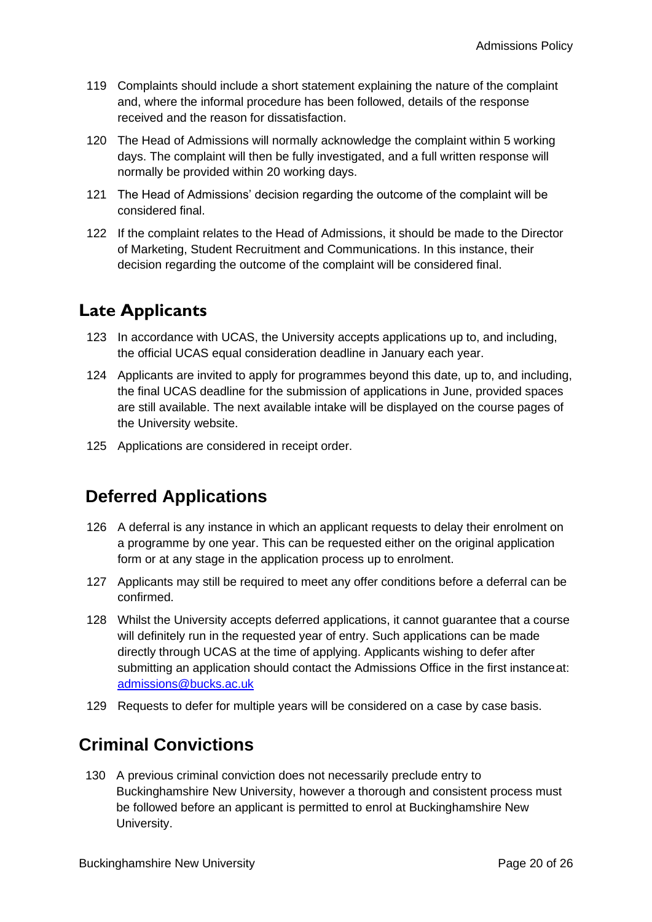- 119 Complaints should include a short statement explaining the nature of the complaint and, where the informal procedure has been followed, details of the response received and the reason for dissatisfaction.
- 120 The Head of Admissions will normally acknowledge the complaint within 5 working days. The complaint will then be fully investigated, and a full written response will normally be provided within 20 working days.
- 121 The Head of Admissions' decision regarding the outcome of the complaint will be considered final.
- 122 If the complaint relates to the Head of Admissions, it should be made to the Director of Marketing, Student Recruitment and Communications. In this instance, their decision regarding the outcome of the complaint will be considered final.

## <span id="page-19-0"></span>**Late Applicants**

- 123 In accordance with UCAS, the University accepts applications up to, and including, the official UCAS equal consideration deadline in January each year.
- 124 Applicants are invited to apply for programmes beyond this date, up to, and including, the final UCAS deadline for the submission of applications in June, provided spaces are still available. The next available intake will be displayed on the course pages of the University website.
- 125 Applications are considered in receipt order.

# **Deferred Applications**

- 126 A deferral is any instance in which an applicant requests to delay their enrolment on a programme by one year. This can be requested either on the original application form or at any stage in the application process up to enrolment.
- 127 Applicants may still be required to meet any offer conditions before a deferral can be confirmed.
- 128 Whilst the University accepts deferred applications, it cannot guarantee that a course will definitely run in the requested year of entry. Such applications can be made directly through UCAS at the time of applying. Applicants wishing to defer after submitting an application should contact the Admissions Office in the first instanceat: [admissions@bucks.ac.uk](mailto:admissions@bucks.ac.uk)
- 129 Requests to defer for multiple years will be considered on a case by case basis.

# **Criminal Convictions**

130 A previous criminal conviction does not necessarily preclude entry to Buckinghamshire New University, however a thorough and consistent process must be followed before an applicant is permitted to enrol at Buckinghamshire New University.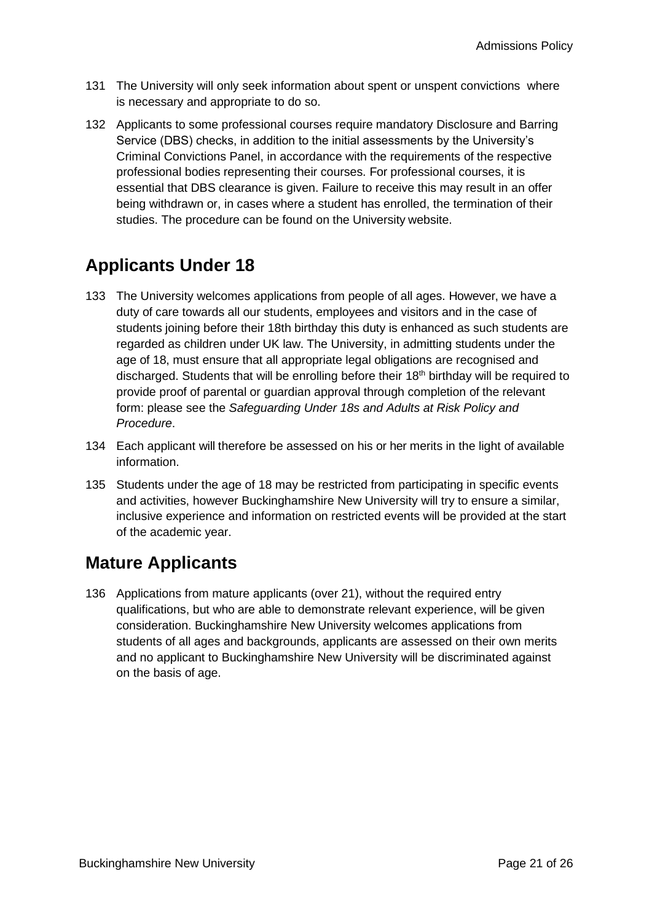- 131 The University will only seek information about spent or unspent convictions where is necessary and appropriate to do so.
- 132 Applicants to some professional courses require mandatory Disclosure and Barring Service (DBS) checks, in addition to the initial assessments by the University's Criminal Convictions Panel, in accordance with the requirements of the respective professional bodies representing their courses. For professional courses, it is essential that DBS clearance is given. Failure to receive this may result in an offer being withdrawn or, in cases where a student has enrolled, the termination of their studies. The procedure can be found on the University website.

# **Applicants Under 18**

- 133 The University welcomes applications from people of all ages. However, we have a duty of care towards all our students, employees and visitors and in the case of students joining before their 18th birthday this duty is enhanced as such students are regarded as children under UK law. The University, in admitting students under the age of 18, must ensure that all appropriate legal obligations are recognised and discharged. Students that will be enrolling before their 18<sup>th</sup> birthday will be required to provide proof of parental or guardian approval through completion of the relevant form: please see the *Safeguarding Under 18s and Adults at Risk Policy and Procedure*.
- 134 Each applicant will therefore be assessed on his or her merits in the light of available information.
- 135 Students under the age of 18 may be restricted from participating in specific events and activities, however Buckinghamshire New University will try to ensure a similar, inclusive experience and information on restricted events will be provided at the start of the academic year.

# **Mature Applicants**

136 Applications from mature applicants (over 21), without the required entry qualifications, but who are able to demonstrate relevant experience, will be given consideration. Buckinghamshire New University welcomes applications from students of all ages and backgrounds, applicants are assessed on their own merits and no applicant to Buckinghamshire New University will be discriminated against on the basis of age.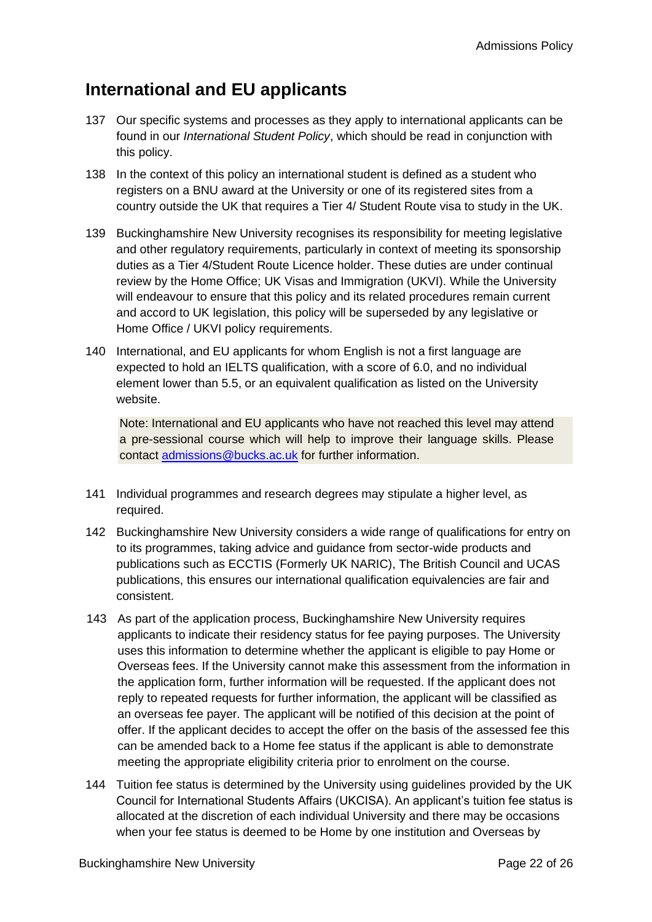# **International and EU applicants**

- 137 Our specific systems and processes as they apply to international applicants can be found in our *International Student Policy*, which should be read in conjunction with this policy.
- 138 In the context of this policy an international student is defined as a student who registers on a BNU award at the University or one of its registered sites from a country outside the UK that requires a Tier 4/ Student Route visa to study in the UK.
- 139 Buckinghamshire New University recognises its responsibility for meeting legislative and other regulatory requirements, particularly in context of meeting its sponsorship duties as a Tier 4/Student Route Licence holder. These duties are under continual review by the Home Office; UK Visas and Immigration (UKVI). While the University will endeavour to ensure that this policy and its related procedures remain current and accord to UK legislation, this policy will be superseded by any legislative or Home Office / UKVI policy requirements.
- 140 International, and EU applicants for whom English is not a first language are expected to hold an IELTS qualification, with a score of 6.0, and no individual element lower than 5.5, or an equivalent qualification as listed on the University website.

Note: International and EU applicants who have not reached this level may attend a pre-sessional course which will help to improve their language skills. Please contact [admissions@bucks.ac.uk](mailto:admissions@bucks.ac.uk) for further information.

- 141 Individual programmes and research degrees may stipulate a higher level, as required.
- 142 Buckinghamshire New University considers a wide range of qualifications for entry on to its programmes, taking advice and guidance from sector-wide products and publications such as ECCTIS (Formerly UK NARIC), The British Council and UCAS publications, this ensures our international qualification equivalencies are fair and consistent.
- 143 As part of the application process, Buckinghamshire New University requires applicants to indicate their residency status for fee paying purposes. The University uses this information to determine whether the applicant is eligible to pay Home or Overseas fees. If the University cannot make this assessment from the information in the application form, further information will be requested. If the applicant does not reply to repeated requests for further information, the applicant will be classified as an overseas fee payer. The applicant will be notified of this decision at the point of offer. If the applicant decides to accept the offer on the basis of the assessed fee this can be amended back to a Home fee status if the applicant is able to demonstrate meeting the appropriate eligibility criteria prior to enrolment on the course.
- 144 Tuition fee status is determined by the University using guidelines provided by the UK Council for International Students Affairs (UKCISA). An applicant's tuition fee status is allocated at the discretion of each individual University and there may be occasions when your fee status is deemed to be Home by one institution and Overseas by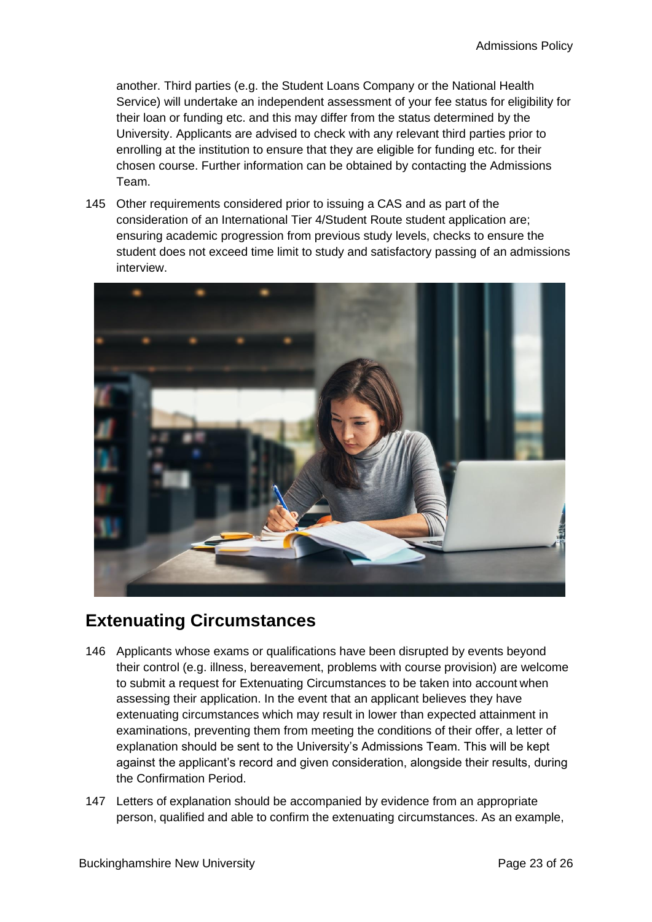another. Third parties (e.g. the Student Loans Company or the National Health Service) will undertake an independent assessment of your fee status for eligibility for their loan or funding etc. and this may differ from the status determined by the University. Applicants are advised to check with any relevant third parties prior to enrolling at the institution to ensure that they are eligible for funding etc. for their chosen course. Further information can be obtained by contacting the Admissions Team.

145 Other requirements considered prior to issuing a CAS and as part of the consideration of an International Tier 4/Student Route student application are; ensuring academic progression from previous study levels, checks to ensure the student does not exceed time limit to study and satisfactory passing of an admissions interview.



### **Extenuating Circumstances**

- 146 Applicants whose exams or qualifications have been disrupted by events beyond their control (e.g. illness, bereavement, problems with course provision) are welcome to submit a request for Extenuating Circumstances to be taken into account when assessing their application. In the event that an applicant believes they have extenuating circumstances which may result in lower than expected attainment in examinations, preventing them from meeting the conditions of their offer, a letter of explanation should be sent to the University's Admissions Team. This will be kept against the applicant's record and given consideration, alongside their results, during the Confirmation Period.
- 147 Letters of explanation should be accompanied by evidence from an appropriate person, qualified and able to confirm the extenuating circumstances. As an example,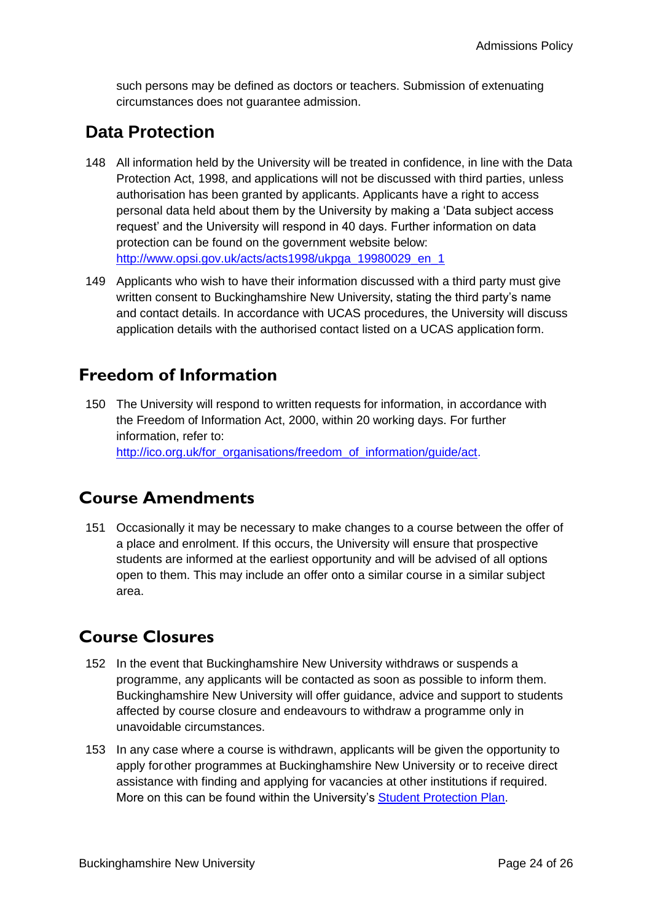such persons may be defined as doctors or teachers. Submission of extenuating circumstances does not guarantee admission.

#### **Data Protection**

- 148 All information held by the University will be treated in confidence, in line with the Data Protection Act, 1998, and applications will not be discussed with third parties, unless authorisation has been granted by applicants. Applicants have a right to access personal data held about them by the University by making a 'Data subject access request' and the University will respond in 40 days. Further information on data protection can be found on the government website below: [http://www.opsi.gov.uk/acts/acts1998/ukpga\\_19980029\\_en\\_1](http://www.opsi.gov.uk/acts/acts1998/ukpga_19980029_en_1)
- 149 Applicants who wish to have their information discussed with a third party must give written consent to Buckinghamshire New University, stating the third party's name and contact details. In accordance with UCAS procedures, the University will discuss application details with the authorised contact listed on a UCAS application form.

#### <span id="page-23-0"></span>**Freedom of Information**

150 The University will respond to written requests for information, in accordance with the Freedom of Information Act, 2000, within 20 working days. For further information, refer to: [http://ico.org.uk/for\\_organisations/freedom\\_of\\_information/guide/act.](http://ico.org.uk/for_organisations/freedom_of_information/guide/act)

### <span id="page-23-1"></span>**Course Amendments**

151 Occasionally it may be necessary to make changes to a course between the offer of a place and enrolment. If this occurs, the University will ensure that prospective students are informed at the earliest opportunity and will be advised of all options open to them. This may include an offer onto a similar course in a similar subject area.

### <span id="page-23-2"></span>**Course Closures**

- 152 In the event that Buckinghamshire New University withdraws or suspends a programme, any applicants will be contacted as soon as possible to inform them. Buckinghamshire New University will offer guidance, advice and support to students affected by course closure and endeavours to withdraw a programme only in unavoidable circumstances.
- 153 In any case where a course is withdrawn, applicants will be given the opportunity to apply forother programmes at Buckinghamshire New University or to receive direct assistance with finding and applying for vacancies at other institutions if required. More on this can be found within the University's [Student Protection Plan.](https://bucks.ac.uk/about-us/governance-and-policies/policies)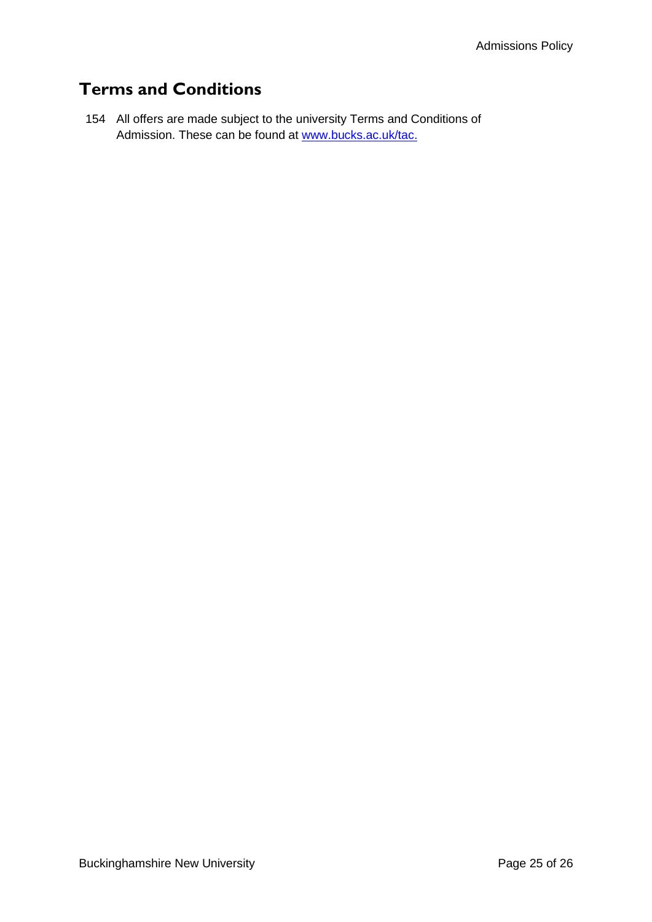# <span id="page-24-0"></span>**Terms and Conditions**

154 All offers are made subject to the university Terms and Conditions of Admission. These can be found at [www.bucks.ac.uk/tac.](http://www.bucks.ac.uk/tac)